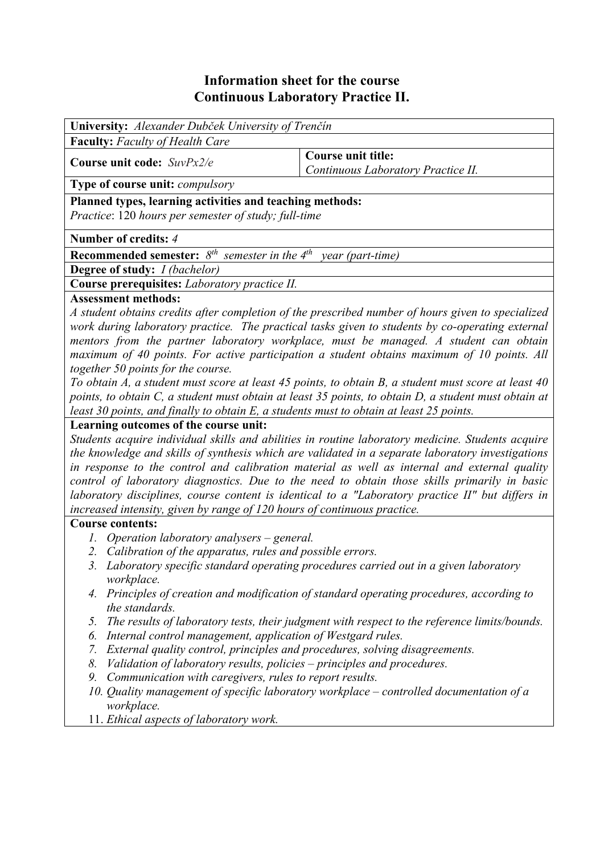# **Information sheet for the course Continuous Laboratory Practice II.**

| <b>University:</b> Alexander Dubček University of Trenčín                                                        |                                                                 |  |  |  |
|------------------------------------------------------------------------------------------------------------------|-----------------------------------------------------------------|--|--|--|
| <b>Faculty:</b> Faculty of Health Care                                                                           |                                                                 |  |  |  |
| Course unit code: $SuvPx2/e$                                                                                     | <b>Course unit title:</b><br>Continuous Laboratory Practice II. |  |  |  |
| <b>Type of course unit:</b> <i>compulsory</i>                                                                    |                                                                 |  |  |  |
| Planned types, learning activities and teaching methods:<br>Practice: 120 hours per semester of study; full-time |                                                                 |  |  |  |
| Number of credits: 4                                                                                             |                                                                 |  |  |  |
| <b>Recommended semester:</b> $8^{th}$ semester in the $4^{th}$ year (part-time)                                  |                                                                 |  |  |  |
| <b>Degree of study:</b> <i>I (bachelor)</i>                                                                      |                                                                 |  |  |  |
| Course prerequisites: Laboratory practice II.                                                                    |                                                                 |  |  |  |
| <b>Assessment methods:</b>                                                                                       |                                                                 |  |  |  |

*A student obtains credits after completion of the prescribed number of hours given to specialized work during laboratory practice. The practical tasks given to students by co-operating external mentors from the partner laboratory workplace, must be managed. A student can obtain maximum of 40 points. For active participation a student obtains maximum of 10 points. All together 50 points for the course.* 

*To obtain A, a student must score at least 45 points, to obtain B, a student must score at least 40 points, to obtain C, a student must obtain at least 35 points, to obtain D, a student must obtain at least 30 points, and finally to obtain E, a students must to obtain at least 25 points.*

## **Learning outcomes of the course unit:**

*Students acquire individual skills and abilities in routine laboratory medicine. Students acquire the knowledge and skills of synthesis which are validated in a separate laboratory investigations in response to the control and calibration material as well as internal and external quality control of laboratory diagnostics. Due to the need to obtain those skills primarily in basic laboratory disciplines, course content is identical to a "Laboratory practice II" but differs in increased intensity, given by range of 120 hours of continuous practice.* 

### **Course contents:**

- *1. Operation laboratory analysers general.*
- *2. Calibration of the apparatus, rules and possible errors.*
- *3. Laboratory specific standard operating procedures carried out in a given laboratory workplace.*
- *4. Principles of creation and modification of standard operating procedures, according to the standards.*
- *5. The results of laboratory tests, their judgment with respect to the reference limits/bounds.*
- *6. Internal control management, application of Westgard rules.*
- *7. External quality control, principles and procedures, solving disagreements.*
- *8. Validation of laboratory results, policies principles and procedures.*
- *9. Communication with caregivers, rules to report results.*
- *10. Quality management of specific laboratory workplace controlled documentation of a workplace.*
- 11. *Ethical aspects of laboratory work.*